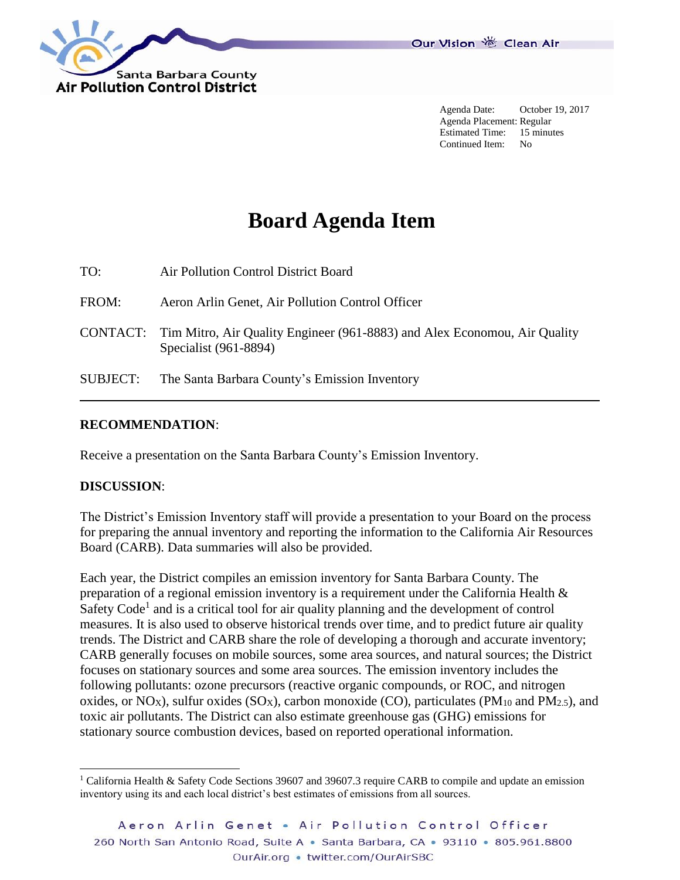

Agenda Date: October 19, 2017 Agenda Placement: Regular Estimated Time: 15 minutes Continued Item: No

## **Board Agenda Item**

TO: Air Pollution Control District Board FROM: Aeron Arlin Genet, Air Pollution Control Officer CONTACT: Tim Mitro, Air Quality Engineer (961-8883) and Alex Economou, Air Quality Specialist (961-8894) SUBJECT: The Santa Barbara County's Emission Inventory

## **RECOMMENDATION**:

Receive a presentation on the Santa Barbara County's Emission Inventory.

## **DISCUSSION**:

l

The District's Emission Inventory staff will provide a presentation to your Board on the process for preparing the annual inventory and reporting the information to the California Air Resources Board (CARB). Data summaries will also be provided.

Each year, the District compiles an emission inventory for Santa Barbara County. The preparation of a regional emission inventory is a requirement under the California Health & Safety Code<sup>1</sup> and is a critical tool for air quality planning and the development of control measures. It is also used to observe historical trends over time, and to predict future air quality trends. The District and CARB share the role of developing a thorough and accurate inventory; CARB generally focuses on mobile sources, some area sources, and natural sources; the District focuses on stationary sources and some area sources. The emission inventory includes the following pollutants: ozone precursors (reactive organic compounds, or ROC, and nitrogen oxides, or NO<sub>X</sub>), sulfur oxides (SO<sub>X</sub>), carbon monoxide (CO), particulates (PM<sub>10</sub> and PM<sub>2.5</sub>), and toxic air pollutants. The District can also estimate greenhouse gas (GHG) emissions for stationary source combustion devices, based on reported operational information.

<sup>&</sup>lt;sup>1</sup> California Health & Safety Code Sections 39607 and 39607.3 require CARB to compile and update an emission inventory using its and each local district's best estimates of emissions from all sources.